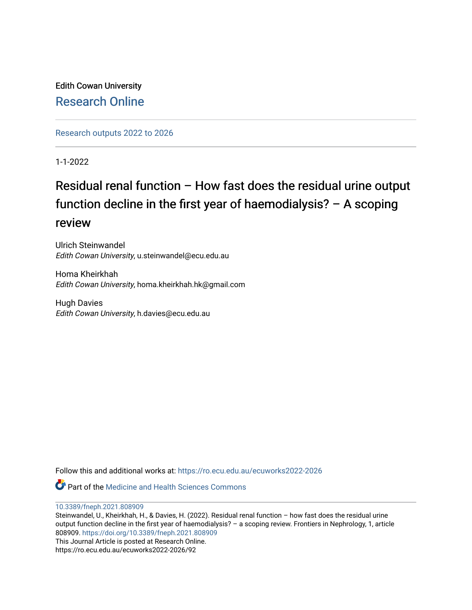Edith Cowan University [Research Online](https://ro.ecu.edu.au/) 

[Research outputs 2022 to 2026](https://ro.ecu.edu.au/ecuworks2022-2026) 

1-1-2022

# Residual renal function – How fast does the residual urine output function decline in the first year of haemodialysis? – A scoping review

Ulrich Steinwandel Edith Cowan University, u.steinwandel@ecu.edu.au

Homa Kheirkhah Edith Cowan University, homa.kheirkhah.hk@gmail.com

Hugh Davies Edith Cowan University, h.davies@ecu.edu.au

Follow this and additional works at: [https://ro.ecu.edu.au/ecuworks2022-2026](https://ro.ecu.edu.au/ecuworks2022-2026?utm_source=ro.ecu.edu.au%2Fecuworks2022-2026%2F92&utm_medium=PDF&utm_campaign=PDFCoverPages)

**C** Part of the Medicine and Health Sciences Commons

[10.3389/fneph.2021.808909](http://dx.doi.org/10.3389/fneph.2021.808909) 

Steinwandel, U., Kheirkhah, H., & Davies, H. (2022). Residual renal function – how fast does the residual urine output function decline in the first year of haemodialysis? – a scoping review. Frontiers in Nephrology, 1, article 808909. <https://doi.org/10.3389/fneph.2021.808909> This Journal Article is posted at Research Online. https://ro.ecu.edu.au/ecuworks2022-2026/92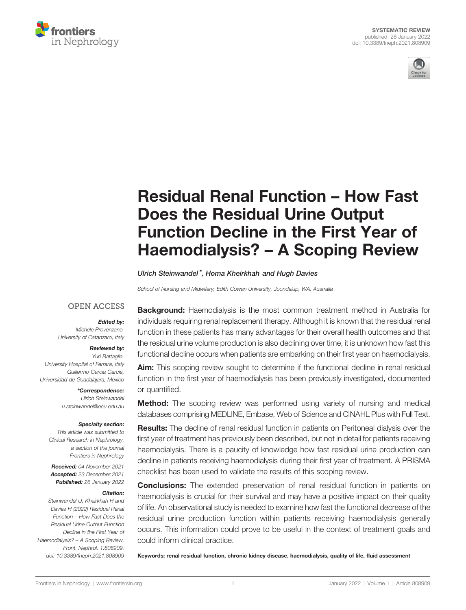



# [Residual Renal Function](https://www.frontiersin.org/articles/10.3389/fneph.2021.808909/full) – How Fast [Does the Residual Urine Output](https://www.frontiersin.org/articles/10.3389/fneph.2021.808909/full) [Function Decline in the First Year of](https://www.frontiersin.org/articles/10.3389/fneph.2021.808909/full) Haemodialysis? – [A Scoping Review](https://www.frontiersin.org/articles/10.3389/fneph.2021.808909/full)

Ulrich Steinwandel\*, Homa Kheirkhah and Hugh Davies

School of Nursing and Midwifery, Edith Cowan University, Joondalup, WA, Australia

#### **OPEN ACCESS**

#### Edited by:

Michele Provenzano, University of Catanzaro, Italy

#### Reviewed by:

Yuri Battaglia, University Hospital of Ferrara, Italy Guillermo Garcia Garcia, Universidad de Guadalajara, Mexico

> \*Correspondence: Ulrich Steinwandel [u.steinwandel@ecu.edu.au](mailto:u.steinwandel@ecu.edu.au)

#### Specialty section:

This article was submitted to Clinical Research in Nephrology, a section of the journal Frontiers in Nephrology

Received: 04 November 2021 Accepted: 23 December 2021 Published: 26 January 2022

#### Citation:

Steinwandel U, Kheirkhah H and Davies H (2022) Residual Renal Function – How Fast Does the Residual Urine Output Function Decline in the First Year of Haemodialysis? – A Scoping Review. Front. Nephrol. 1:808909. [doi: 10.3389/fneph.2021.808909](https://doi.org/10.3389/fneph.2021.808909)

**Background:** Haemodialysis is the most common treatment method in Australia for individuals requiring renal replacement therapy. Although it is known that the residual renal function in these patients has many advantages for their overall health outcomes and that the residual urine volume production is also declining over time, it is unknown how fast this functional decline occurs when patients are embarking on their first year on haemodialysis.

**Aim:** This scoping review sought to determine if the functional decline in renal residual function in the first year of haemodialysis has been previously investigated, documented or quantified.

**Method:** The scoping review was performed using variety of nursing and medical databases comprising MEDLINE, Embase, Web of Science and CINAHL Plus with Full Text.

**Results:** The decline of renal residual function in patients on Peritoneal dialysis over the first year of treatment has previously been described, but not in detail for patients receiving haemodialysis. There is a paucity of knowledge how fast residual urine production can decline in patients receiving haemodialysis during their first year of treatment. A PRISMA checklist has been used to validate the results of this scoping review.

**Conclusions:** The extended preservation of renal residual function in patients on haemodialysis is crucial for their survival and may have a positive impact on their quality of life. An observational study is needed to examine how fast the functional decrease of the residual urine production function within patients receiving haemodialysis generally occurs. This information could prove to be useful in the context of treatment goals and could inform clinical practice.

Keywords: renal residual function, chronic kidney disease, haemodialysis, quality of life, fluid assessment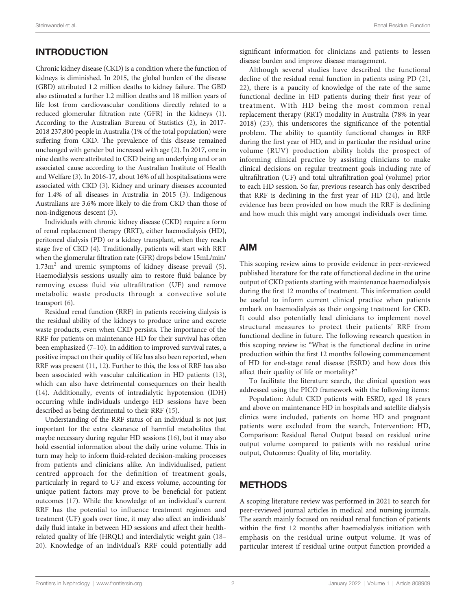# INTRODUCTION

Chronic kidney disease (CKD) is a condition where the function of kidneys is diminished. In 2015, the global burden of the disease (GBD) attributed 1.2 million deaths to kidney failure. The GBD also estimated a further 1.2 million deaths and 18 million years of life lost from cardiovascular conditions directly related to a reduced glomerular filtration rate (GFR) in the kidneys [\(1\)](#page-7-0). According to the Australian Bureau of Statistics [\(2](#page-7-0)), in 2017- 2018 237,800 people in Australia (1% of the total population) were suffering from CKD. The prevalence of this disease remained unchanged with gender but increased with age ([2](#page-7-0)). In 2017, one in nine deaths were attributed to CKD being an underlying and or an associated cause according to the Australian Institute of Health and Welfare ([3](#page-7-0)). In 2016-17, about 16% of all hospitalisations were associated with CKD [\(3\)](#page-7-0). Kidney and urinary diseases accounted for 1.4% of all diseases in Australia in 2015 ([3](#page-7-0)). Indigenous Australians are 3.6% more likely to die from CKD than those of non-indigenous descent [\(3\)](#page-7-0).

Individuals with chronic kidney disease (CKD) require a form of renal replacement therapy (RRT), either haemodialysis (HD), peritoneal dialysis (PD) or a kidney transplant, when they reach stage five of CKD ([4](#page-7-0)). Traditionally, patients will start with RRT when the glomerular filtration rate (GFR) drops below 15mL/min/  $1.73\text{m}^2$  and uremic symptoms of kidney disease prevail [\(5\)](#page-7-0). Haemodialysis sessions usually aim to restore fluid balance by removing excess fluid via ultrafiltration (UF) and remove metabolic waste products through a convective solute transport ([6](#page-7-0)).

Residual renal function (RRF) in patients receiving dialysis is the residual ability of the kidneys to produce urine and excrete waste products, even when CKD persists. The importance of the RRF for patients on maintenance HD for their survival has often been emphasized [\(7](#page-7-0)–[10](#page-7-0)). In addition to improved survival rates, a positive impact on their quality of life has also been reported, when RRF was present [\(11](#page-7-0), [12](#page-7-0)). Further to this, the loss of RRF has also been associated with vascular calcification in HD patients [\(13\)](#page-7-0), which can also have detrimental consequences on their health ([14\)](#page-7-0). Additionally, events of intradialytic hypotension (IDH) occurring while individuals undergo HD sessions have been described as being detrimental to their RRF [\(15\)](#page-7-0).

Understanding of the RRF status of an individual is not just important for the extra clearance of harmful metabolites that maybe necessary during regular HD sessions [\(16](#page-7-0)), but it may also hold essential information about the daily urine volume. This in turn may help to inform fluid-related decision-making processes from patients and clinicians alike. An individualised, patient centred approach for the definition of treatment goals, particularly in regard to UF and excess volume, accounting for unique patient factors may prove to be beneficial for patient outcomes [\(17\)](#page-7-0). While the knowledge of an individual's current RRF has the potential to influence treatment regimen and treatment (UF) goals over time, it may also affect an individuals' daily fluid intake in between HD sessions and affect their healthrelated quality of life (HRQL) and interdialytic weight gain [\(18](#page-7-0)– [20](#page-7-0)). Knowledge of an individual's RRF could potentially add

significant information for clinicians and patients to lessen disease burden and improve disease management.

Although several studies have described the functional decline of the residual renal function in patients using PD ([21,](#page-7-0) [22](#page-8-0)), there is a paucity of knowledge of the rate of the same functional decline in HD patients during their first year of treatment. With HD being the most common renal replacement therapy (RRT) modality in Australia (78% in year 2018) [\(23\)](#page-8-0), this underscores the significance of the potential problem. The ability to quantify functional changes in RRF during the first year of HD, and in particular the residual urine volume (RUV) production ability holds the prospect of informing clinical practice by assisting clinicians to make clinical decisions on regular treatment goals including rate of ultrafiltration (UF) and total ultrafiltration goal (volume) prior to each HD session. So far, previous research has only described that RRF is declining in the first year of HD ([24\)](#page-8-0), and little evidence has been provided on how much the RRF is declining and how much this might vary amongst individuals over time.

## AIM

This scoping review aims to provide evidence in peer-reviewed published literature for the rate of functional decline in the urine output of CKD patients starting with maintenance haemodialysis during the first 12 months of treatment. This information could be useful to inform current clinical practice when patients embark on haemodialysis as their ongoing treatment for CKD. It could also potentially lead clinicians to implement novel structural measures to protect their patients' RRF from functional decline in future. The following research question in this scoping review is: "What is the functional decline in urine production within the first 12 months following commencement of HD for end-stage renal disease (ESRD) and how does this affect their quality of life or mortality?"

To facilitate the literature search, the clinical question was addressed using the PICO framework with the following items:

Population: Adult CKD patients with ESRD, aged 18 years and above on maintenance HD in hospitals and satellite dialysis clinics were included, patients on home HD and pregnant patients were excluded from the search, Intervention: HD, Comparison: Residual Renal Output based on residual urine output volume compared to patients with no residual urine output, Outcomes: Quality of life, mortality.

## **METHODS**

A scoping literature review was performed in 2021 to search for peer-reviewed journal articles in medical and nursing journals. The search mainly focused on residual renal function of patients within the first 12 months after haemodialysis initiation with emphasis on the residual urine output volume. It was of particular interest if residual urine output function provided a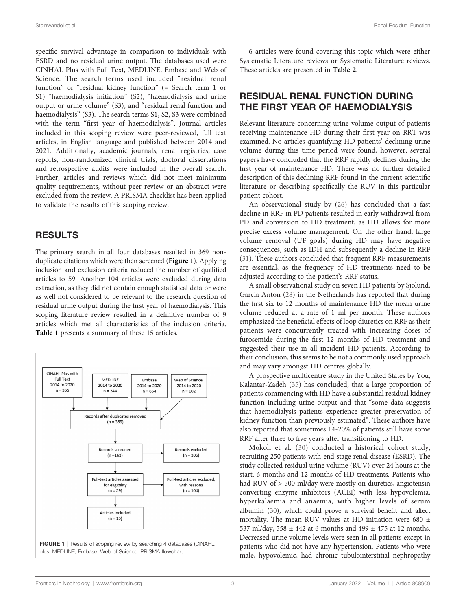Steinwandel et al. Renal Residual Function

specific survival advantage in comparison to individuals with ESRD and no residual urine output. The databases used were CINHAL Plus with Full Text, MEDLINE, Embase and Web of Science. The search terms used included "residual renal function" or "residual kidney function" (= Search term 1 or S1) "haemodialysis initiation" (S2), "haemodialysis and urine output or urine volume" (S3), and "residual renal function and haemodialysis" (S3). The search terms S1, S2, S3 were combined with the term "first year of haemodialysis". Journal articles included in this scoping review were peer-reviewed, full text articles, in English language and published between 2014 and 2021. Additionally, academic journals, renal registries, case reports, non-randomized clinical trials, doctoral dissertations and retrospective audits were included in the overall search. Further, articles and reviews which did not meet minimum quality requirements, without peer review or an abstract were excluded from the review. A PRISMA checklist has been applied to validate the results of this scoping review.

#### RESULTS

The primary search in all four databases resulted in 369 nonduplicate citations which were then screened (Figure 1). Applying inclusion and exclusion criteria reduced the number of qualified articles to 59. Another 104 articles were excluded during data extraction, as they did not contain enough statistical data or were as well not considered to be relevant to the research question of residual urine output during the first year of haemodialysis. This scoping literature review resulted in a definitive number of 9 articles which met all characteristics of the inclusion criteria. [Table 1](#page-4-0) presents a summary of these 15 articles.



6 articles were found covering this topic which were either Systematic Literature reviews or Systematic Literature reviews. These articles are presented in [Table 2](#page-5-0).

# RESIDUAL RENAL FUNCTION DURING THE FIRST YEAR OF HAEMODIALYSIS

Relevant literature concerning urine volume output of patients receiving maintenance HD during their first year on RRT was examined. No articles quantifying HD patients' declining urine volume during this time period were found, however, several papers have concluded that the RRF rapidly declines during the first year of maintenance HD. There was no further detailed description of this declining RRF found in the current scientific literature or describing specifically the RUV in this particular patient cohort.

An observational study by [\(26](#page-8-0)) has concluded that a fast decline in RRF in PD patients resulted in early withdrawal from PD and conversion to HD treatment, as HD allows for more precise excess volume management. On the other hand, large volume removal (UF goals) during HD may have negative consequences, such as IDH and subsequently a decline in RRF [\(31\)](#page-8-0). These authors concluded that frequent RRF measurements are essential, as the frequency of HD treatments need to be adjusted according to the patient's RRF status.

A small observational study on seven HD patients by Sjolund, Garcia Anton ([28](#page-8-0)) in the Netherlands has reported that during the first six to 12 months of maintenance HD the mean urine volume reduced at a rate of 1 ml per month. These authors emphasized the beneficial effects of loop diuretics on RRF as their patients were concurrently treated with increasing doses of furosemide during the first 12 months of HD treatment and suggested their use in all incident HD patients. According to their conclusion, this seems to be not a commonly used approach and may vary amongst HD centres globally.

A prospective multicentre study in the United States by You, Kalantar-Zadeh ([35\)](#page-8-0) has concluded, that a large proportion of patients commencing with HD have a substantial residual kidney function including urine output and that "some data suggests that haemodialysis patients experience greater preservation of kidney function than previously estimated". These authors have also reported that sometimes 14-20% of patients still have some RRF after three to five years after transitioning to HD.

Mokoli et al. ([30\)](#page-8-0) conducted a historical cohort study, recruiting 250 patients with end stage renal disease (ESRD). The study collected residual urine volume (RUV) over 24 hours at the start, 6 months and 12 months of HD treatments. Patients who had RUV of > 500 ml/day were mostly on diuretics, angiotensin converting enzyme inhibitors (ACEI) with less hypovolemia, hyperkalaemia and anaemia, with higher levels of serum albumin ([30\)](#page-8-0), which could prove a survival benefit and affect mortality. The mean RUV values at HD initiation were 680 ± 537 ml/day, 558 ± 442 at 6 months and 499 ± 475 at 12 months. Decreased urine volume levels were seen in all patients except in patients who did not have any hypertension. Patients who were male, hypovolemic, had chronic tubulointerstitial nephropathy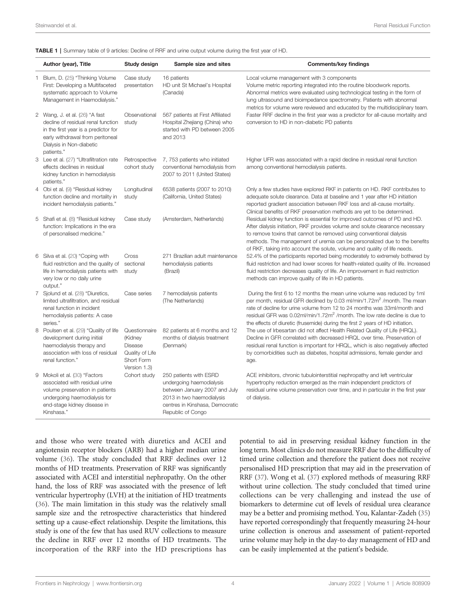<span id="page-4-0"></span>

|  |  |  |  |  | <b>TABLE 1</b>   Summary table of 9 articles: Decline of RRF and urine output volume during the first year of HD. |  |
|--|--|--|--|--|-------------------------------------------------------------------------------------------------------------------|--|
|--|--|--|--|--|-------------------------------------------------------------------------------------------------------------------|--|

| Author (year), Title                                                                                                                                                                       | Study design                                                                                | Sample size and sites                                                                                                                                                    | <b>Comments/key findings</b>                                                                                                                                                                                                                                                                                                                                                                                           |
|--------------------------------------------------------------------------------------------------------------------------------------------------------------------------------------------|---------------------------------------------------------------------------------------------|--------------------------------------------------------------------------------------------------------------------------------------------------------------------------|------------------------------------------------------------------------------------------------------------------------------------------------------------------------------------------------------------------------------------------------------------------------------------------------------------------------------------------------------------------------------------------------------------------------|
| 1 Blum, D. (25) "Thinking Volume<br>First: Developing a Multifaceted<br>systematic approach to Volume<br>Management in Haemodialysis."                                                     | Case study<br>presentation                                                                  | 16 patients<br>HD unit St Michael's Hospital<br>(Canada)                                                                                                                 | Local volume management with 3 components<br>Volume metric reporting integrated into the routine bloodwork reports.<br>Abnormal metrics were evaluated using technological testing in the form of<br>lung ultrasound and bioimpedance spectrometry. Patients with abnormal<br>metrics for volume were reviewed and educated by the multidisciplinary team.                                                             |
| 2 Wang, J. et al. (26) "A fast<br>decline of residual renal function<br>in the first year is a predictor for<br>early withdrawal from peritoneal<br>Dialysis in Non-diabetic<br>patients." | Observational<br>study                                                                      | 567 patients at First Affiliated<br>Hospital Zhejiang (China) who<br>started with PD between 2005<br>and 2013                                                            | Faster RRF decline in the first year was a predictor for all-cause mortality and<br>conversion to HD in non-diabetic PD patients                                                                                                                                                                                                                                                                                       |
| 3 Lee et al. (27) "Ultrafiltration rate<br>effects declines in residual<br>kidney function in hemodialysis<br>patients."                                                                   | Retrospective<br>cohort study                                                               | 7, 753 patients who initiated<br>conventional hemodialysis from<br>2007 to 2011 (United States)                                                                          | Higher UFR was associated with a rapid decline in residual renal function<br>among conventional hemodialysis patients.                                                                                                                                                                                                                                                                                                 |
| 4 Obi et al. (9) "Residual kidney<br>function decline and mortality in<br>incident hemodialysis patients."                                                                                 | Longitudinal<br>study                                                                       | 6538 patients (2007 to 2010)<br>(California, United States)                                                                                                              | Only a few studies have explored RKF in patients on HD. RKF contributes to<br>adequate solute clearance. Data at baseline and 1 year after HD initiation<br>reported gradient association between RKF loss and all-cause mortality.<br>Clinical benefits of RKF preservation methods are yet to be determined.                                                                                                         |
| 5 Shafi et al. (8) "Residual kidney<br>function: Implications in the era<br>of personalised medicine."                                                                                     | Case study                                                                                  | (Amsterdam, Netherlands)                                                                                                                                                 | Residual kidney function is essential for improved outcomes of PD and HD.<br>After dialysis initiation, RKF provides volume and solute clearance necessary<br>to remove toxins that cannot be removed using conventional dialysis<br>methods. The management of uremia can be personalized due to the benefits<br>of RKF, taking into account the solute, volume and quality of life needs.                            |
| 6 Silva et al. (20) "Coping with<br>fluid restriction and the quality of<br>life in hemodialysis patients with<br>very low or no daily urine<br>output."                                   | Cross<br>sectional<br>study                                                                 | 271 Brazilian adult maintenance<br>hemodialysis patients<br>(Brazil)                                                                                                     | 52.4% of the participants reported being moderately to extremely bothered by<br>fluid restriction and had lower scores for health-related quality of life. Increased<br>fluid restriction decreases quality of life. An improvement in fluid restriction<br>methods can improve quality of life in HD patients.                                                                                                        |
| 7 Sjolund et al. (28) "Diuretics,<br>limited ultrafiltration, and residual<br>renal function in incident<br>hemodialysis patients: A case<br>series."                                      | Case series                                                                                 | 7 hemodialysis patients<br>(The Netherlands)                                                                                                                             | During the first 6 to 12 months the mean urine volume was reduced by 1ml<br>per month, residual GFR declined by 0.03 ml/min/1.72m <sup>2</sup> /month. The mean<br>rate of decline for urine volume from 12 to 24 months was 33ml/month and<br>residual GFR was 0.02ml/min/1.72m <sup>2</sup> /month. The low rate decline is due to<br>the effects of diuretic (frusemide) during the first 2 years of HD initiation. |
| 8 Poulsen et al. (29) "Quality of life<br>development during initial<br>haemodialysis therapy and<br>association with loss of residual<br>renal function."                                 | Questionnaire<br>(Kidney<br><b>Disease</b><br>Quality of Life<br>Short Form<br>Version 1.3) | 82 patients at 6 months and 12<br>months of dialysis treatment<br>(Denmark)                                                                                              | The use of Irbesartan did not affect Health Related Quality of Life (HRQL).<br>Decline in GFR correlated with decreased HRQL over time. Preservation of<br>residual renal function is important for HRQL, which is also negatively affected<br>by comorbidities such as diabetes, hospital admissions, female gender and<br>age.                                                                                       |
| 9 Mokoli et al. (30) "Factors<br>associated with residual urine<br>volume preservation in patients<br>undergoing haemodialysis for<br>end-stage kidney disease in<br>Kinshasa."            | Cohort study                                                                                | 250 patients with ESRD<br>undergoing haemodialysis<br>between January 2007 and July<br>2013 in two haemodialysis<br>centres in Kinshasa, Democratic<br>Republic of Congo | ACE inhibitors, chronic tubulointerstitial nephropathy and left ventricular<br>hypertrophy reduction emerged as the main independent predictors of<br>residual urine volume preservation over time, and in particular in the first year<br>of dialysis.                                                                                                                                                                |

and those who were treated with diuretics and ACEI and angiotensin receptor blockers (ARB) had a higher median urine volume ([36\)](#page-8-0). The study concluded that RRF declines over 12 months of HD treatments. Preservation of RRF was significantly associated with ACEI and interstitial nephropathy. On the other hand, the loss of RRF was associated with the presence of left ventricular hypertrophy (LVH) at the initiation of HD treatments ([36](#page-8-0)). The main limitation in this study was the relatively small sample size and the retrospective characteristics that hindered setting up a cause-effect relationship. Despite the limitations, this study is one of the few that has used RUV collections to measure the decline in RRF over 12 months of HD treatments. The incorporation of the RRF into the HD prescriptions has

potential to aid in preserving residual kidney function in the long term. Most clinics do not measure RRF due to the difficulty of timed urine collection and therefore the patient does not receive personalised HD prescription that may aid in the preservation of RRF ([37\)](#page-8-0). Wong et al. [\(37\)](#page-8-0) explored methods of measuring RRF without urine collection. The study concluded that timed urine collections can be very challenging and instead the use of biomarkers to determine cut off levels of residual urea clearance may be a better and promising method. You, Kalantar-Zadeh ([35\)](#page-8-0) have reported correspondingly that frequently measuring 24-hour urine collection is onerous and assessment of patient-reported urine volume may help in the day-to day management of HD and can be easily implemented at the patient's bedside.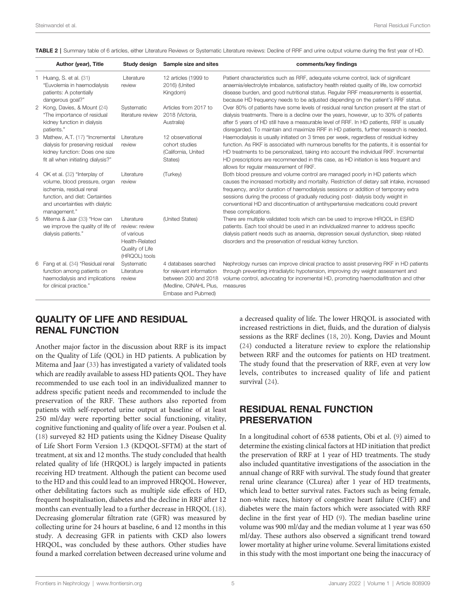| Author (year), Title                                                                                                                                                              | Study design                                                                                     | Sample size and sites                                                                                                    | comments/key findings                                                                                                                                                                                                                                                                                                                                                                                                                                                |
|-----------------------------------------------------------------------------------------------------------------------------------------------------------------------------------|--------------------------------------------------------------------------------------------------|--------------------------------------------------------------------------------------------------------------------------|----------------------------------------------------------------------------------------------------------------------------------------------------------------------------------------------------------------------------------------------------------------------------------------------------------------------------------------------------------------------------------------------------------------------------------------------------------------------|
| 1 Huang, S. et al. (31)<br>"Euvolemia in haemodialysis<br>patients: A potentially<br>dangerous goal?"                                                                             | Literature<br>review                                                                             | 12 articles (1999 to<br>2016) (United<br>Kingdom)                                                                        | Patient characteristics such as RRF, adequate volume control, lack of significant<br>anaemia/electrolyte imbalance, satisfactory health related quality of life, low comorbid<br>disease burden, and good nutritional status. Regular RRF measurements is essential,<br>because HD frequency needs to be adjusted depending on the patient's RRF status.                                                                                                             |
| 2 Kong, Davies, & Mount (24)<br>"The importance of residual<br>kidney function in dialysis<br>patients."                                                                          | Systematic<br>literature review                                                                  | Articles from 2017 to<br>2018 (Victoria,<br>Australia)                                                                   | Over 80% of patients have some levels of residual renal function present at the start of<br>dialysis treatments. There is a decline over the years, however, up to 30% of patients<br>after 5 years of HD still have a measurable level of RRF. In HD patients, RRF is usually<br>disregarded. To maintain and maximize RRF in HD patients, further research is needed.                                                                                              |
| 3 Mathew, A.T. (17) "Incremental<br>dialysis for preserving residual<br>kidney function: Does one size<br>fit all when initiating dialysis?"                                      | Literature<br>review                                                                             | 12 observational<br>cohort studies<br>(California, United<br>States)                                                     | Haemodialysis is usually initiated on 3 times per week, regardless of residual kidney<br>function. As RKF is associated with numerous benefits for the patients, it is essential for<br>HD treatments to be personalized, taking into account the individual RKF. Incremental<br>HD prescriptions are recommended in this case, as HD initiation is less frequent and<br>allows for regular measurement of RKF.                                                      |
| 4 OK et al. (32) "Interplay of<br>volume, blood pressure, organ<br>ischemia, residual renal<br>function, and diet: Certainties<br>and uncertainties with dialytic<br>management." | Literature<br>review                                                                             | (Turkey)                                                                                                                 | Both blood pressure and volume control are managed poorly in HD patients which<br>causes the increased morbidity and mortality. Restriction of dietary salt intake, increased<br>frequency, and/or duration of haemodialysis sessions or addition of temporary extra<br>sessions during the process of gradually reducing post- dialysis body weight in<br>conventional HD and discontinuation of antihypertensive medications could prevent<br>these complications. |
| 5 Mitema & Jaar (33) "How can<br>we improve the quality of life of<br>dialysis patients."                                                                                         | Literature<br>review: review<br>of various<br>Health-Related<br>Quality of Life<br>(HRQOL) tools | (United States)                                                                                                          | There are multiple validated tools which can be used to improve HRQOL in ESRD<br>patients. Each tool should be used in an individualized manner to address specific<br>dialysis patient needs such as anaemia, depression sexual dysfunction, sleep related<br>disorders and the preservation of residual kidney function.                                                                                                                                           |
| 6 Fang et al. (34) "Residual renal<br>function among patients on<br>haemodialysis and implications<br>for clinical practice."                                                     | Systematic<br>Literature<br>review                                                               | 4 databases searched<br>for relevant information<br>between 200 and 2018<br>(Medline, CINAHL Plus,<br>Embase and Pubmed) | Nephrology nurses can improve clinical practice to assist preserving RKF in HD patients<br>through preventing intradialytic hypotension, improving dry weight assessment and<br>volume control, advocating for incremental HD, promoting haemodiafiltration and other<br>measures                                                                                                                                                                                    |

<span id="page-5-0"></span>TABLE 2 | Summary table of 6 articles, either Literature Reviews or Systematic Literature reviews: Decline of RRF and urine output volume during the first year of HD.

## QUALITY OF LIFE AND RESIDUAL RENAL FUNCTION

Another major factor in the discussion about RRF is its impact on the Quality of Life (QOL) in HD patients. A publication by Mitema and Jaar ([33](#page-8-0)) has investigated a variety of validated tools which are readily available to assess HD patients QOL. They have recommended to use each tool in an individualized manner to address specific patient needs and recommended to include the preservation of the RRF. These authors also reported from patients with self-reported urine output at baseline of at least 250 ml/day were reporting better social functioning, vitality, cognitive functioning and quality of life over a year. Poulsen et al. ([18\)](#page-7-0) surveyed 82 HD patients using the Kidney Disease Quality of Life Short Form Version 1.3 (KDQOL-SFTM) at the start of treatment, at six and 12 months. The study concluded that health related quality of life (HRQOL) is largely impacted in patients receiving HD treatment. Although the patient can become used to the HD and this could lead to an improved HRQOL. However, other debilitating factors such as multiple side effects of HD, frequent hospitalisation, diabetes and the decline in RRF after 12 months can eventually lead to a further decrease in HRQOL ([18\)](#page-7-0). Decreasing glomerular filtration rate (GFR) was measured by collecting urine for 24 hours at baseline, 6 and 12 months in this study. A decreasing GFR in patients with CKD also lowers HRQOL, was concluded by these authors. Other studies have found a marked correlation between decreased urine volume and

a decreased quality of life. The lower HRQOL is associated with increased restrictions in diet, fluids, and the duration of dialysis sessions as the RRF declines ([18](#page-7-0), [20](#page-7-0)). Kong, Davies and Mount [\(24\)](#page-8-0) conducted a literature review to explore the relationship between RRF and the outcomes for patients on HD treatment. The study found that the preservation of RRF, even at very low levels, contributes to increased quality of life and patient survival ([24\)](#page-8-0).

## RESIDUAL RENAL FUNCTION PRESERVATION

In a longitudinal cohort of 6538 patients, Obi et al. [\(9](#page-7-0)) aimed to determine the existing clinical factors at HD initiation that predict the preservation of RRF at 1 year of HD treatments. The study also included quantitative investigations of the association in the annual change of RRF with survival. The study found that greater renal urine clearance (CLurea) after 1 year of HD treatments, which lead to better survival rates. Factors such as being female, non-white races, history of congestive heart failure (CHF) and diabetes were the main factors which were associated with RRF decline in the first year of HD ([9](#page-7-0)). The median baseline urine volume was 900 ml/day and the median volume at 1 year was 650 ml/day. These authors also observed a significant trend toward lower mortality at higher urine volume. Several limitations existed in this study with the most important one being the inaccuracy of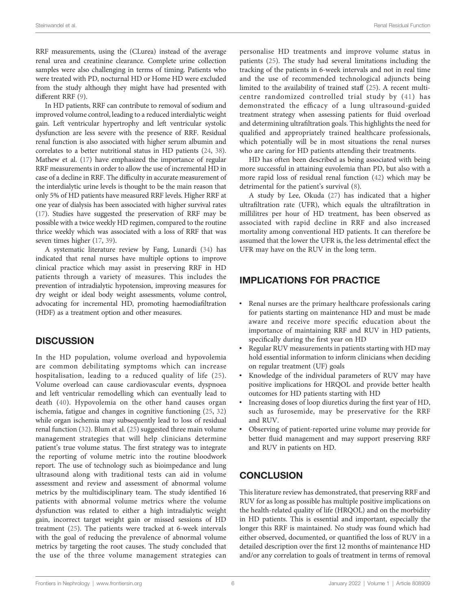RRF measurements, using the (CLurea) instead of the average renal urea and creatinine clearance. Complete urine collection samples were also challenging in terms of timing. Patients who were treated with PD, nocturnal HD or Home HD were excluded from the study although they might have had presented with different RRF ([9](#page-7-0)).

In HD patients, RRF can contribute to removal of sodium and improved volume control, leading to a reduced interdialytic weight gain. Left ventricular hypertrophy and left ventricular systolic dysfunction are less severe with the presence of RRF. Residual renal function is also associated with higher serum albumin and correlates to a better nutritional status in HD patients ([24](#page-8-0), [38\)](#page-8-0). Mathew et al. [\(17](#page-7-0)) have emphasized the importance of regular RRF measurements in order to allow the use of incremental HD in case of a decline in RRF. The difficulty in accurate measurement of the interdialytic urine levels is thought to be the main reason that only 5% of HD patients have measured RRF levels. Higher RRF at one year of dialysis has been associated with higher survival rates ([17](#page-7-0)). Studies have suggested the preservation of RRF may be possible with a twice weekly HD regimen, compared to the routine thrice weekly which was associated with a loss of RRF that was seven times higher [\(17](#page-7-0), [39\)](#page-8-0).

A systematic literature review by Fang, Lunardi [\(34](#page-8-0)) has indicated that renal nurses have multiple options to improve clinical practice which may assist in preserving RRF in HD patients through a variety of measures. This includes the prevention of intradialytic hypotension, improving measures for dry weight or ideal body weight assessments, volume control, advocating for incremental HD, promoting haemodiafiltration (HDF) as a treatment option and other measures.

#### **DISCUSSION**

In the HD population, volume overload and hypovolemia are common debilitating symptoms which can increase hospitalisation, leading to a reduced quality of life ([25\)](#page-8-0). Volume overload can cause cardiovascular events, dyspnoea and left ventricular remodelling which can eventually lead to death ([40\)](#page-8-0). Hypovolemia on the other hand causes organ ischemia, fatigue and changes in cognitive functioning [\(25](#page-8-0), [32\)](#page-8-0) while organ ischemia may subsequently lead to loss of residual renal function ([32\)](#page-8-0). Blum et al. ([25\)](#page-8-0) suggested three main volume management strategies that will help clinicians determine patient's true volume status. The first strategy was to integrate the reporting of volume metric into the routine bloodwork report. The use of technology such as bioimpedance and lung ultrasound along with traditional tests can aid in volume assessment and review and assessment of abnormal volume metrics by the multidisciplinary team. The study identified 16 patients with abnormal volume metrics where the volume dysfunction was related to either a high intradialytic weight gain, incorrect target weight gain or missed sessions of HD treatment ([25\)](#page-8-0). The patients were tracked at 6-week intervals with the goal of reducing the prevalence of abnormal volume metrics by targeting the root causes. The study concluded that the use of the three volume management strategies can

personalise HD treatments and improve volume status in patients [\(25](#page-8-0)). The study had several limitations including the tracking of the patients in 6-week intervals and not in real time and the use of recommended technological adjuncts being limited to the availability of trained staff [\(25](#page-8-0)). A recent multicentre randomized controlled trial study by ([41\)](#page-8-0) has demonstrated the efficacy of a lung ultrasound-guided treatment strategy when assessing patients for fluid overload and determining ultrafiltration goals. This highlights the need for qualified and appropriately trained healthcare professionals, which potentially will be in most situations the renal nurses who are caring for HD patients attending their treatments.

HD has often been described as being associated with being more successful in attaining euvolemia than PD, but also with a more rapid loss of residual renal function [\(42](#page-8-0)) which may be detrimental for the patient's survival ([8\)](#page-7-0).

A study by Lee, Okuda [\(27\)](#page-8-0) has indicated that a higher ultrafiltration rate (UFR), which equals the ultrafiltration in millilitres per hour of HD treatment, has been observed as associated with rapid decline in RRF and also increased mortality among conventional HD patients. It can therefore be assumed that the lower the UFR is, the less detrimental effect the UFR may have on the RUV in the long term.

## IMPLICATIONS FOR PRACTICE

- Renal nurses are the primary healthcare professionals caring for patients starting on maintenance HD and must be made aware and receive more specific education about the importance of maintaining RRF and RUV in HD patients, specifically during the first year on HD
- Regular RUV measurements in patients starting with HD may hold essential information to inform clinicians when deciding on regular treatment (UF) goals
- Knowledge of the individual parameters of RUV may have positive implications for HRQOL and provide better health outcomes for HD patients starting with HD
- Increasing doses of loop diuretics during the first year of HD, such as furosemide, may be preservative for the RRF and RUV.
- Observing of patient-reported urine volume may provide for better fluid management and may support preserving RRF and RUV in patients on HD.

## **CONCLUSION**

This literature review has demonstrated, that preserving RRF and RUV for as long as possible has multiple positive implications on the health-related quality of life (HRQOL) and on the morbidity in HD patients. This is essential and important, especially the longer this RRF is maintained. No study was found which had either observed, documented, or quantified the loss of RUV in a detailed description over the first 12 months of maintenance HD and/or any correlation to goals of treatment in terms of removal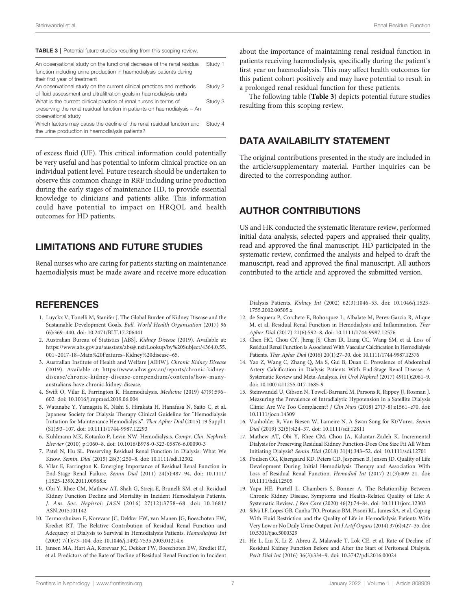#### <span id="page-7-0"></span>TABLE 3 | Potential future studies resulting from this scoping review.

| An observational study on the functional decrease of the renal residual<br>function including urine production in haemodialysis patients during<br>their first year of treatment | Study 1 |
|----------------------------------------------------------------------------------------------------------------------------------------------------------------------------------|---------|
| An observational study on the current clinical practices and methods<br>of fluid assessment and ultrafiltration goals in haemodialysis units                                     | Study 2 |
| What is the current clinical practice of renal nurses in terms of<br>preserving the renal residual function in patients on haemodialysis - An<br>observational study             | Study 3 |
| Which factors may cause the decline of the renal residual function and<br>the urine production in haemodialysis patients?                                                        | Study 4 |

of excess fluid (UF). This critical information could potentially be very useful and has potential to inform clinical practice on an individual patient level. Future research should be undertaken to observe this common change in RRF including urine production during the early stages of maintenance HD, to provide essential knowledge to clinicians and patients alike. This information could have potential to impact on HRQOL and health outcomes for HD patients.

#### LIMITATIONS AND FUTURE STUDIES

Renal nurses who are caring for patients starting on maintenance haemodialysis must be made aware and receive more education

#### **REFERENCES**

- 1. Luyckx V, Tonelli M, Stanifer J. The Global Burden of Kidney Disease and the Sustainable Development Goals. Bull. World Health Organisation (2017) 96 (6):369–440. doi: [10.2471/BLT.17.206441](https://doi.org/10.2471/BLT.17.206441)
- 2. Australian Bureau of Statistics [ABS]. Kidney Disease (2019). Available at: [https://www.abs.gov.au/ausstats/abs@.nsf/Lookup/by%20Subject/4364.0.55.](https://www.abs.gov.au/ausstats/abs%7b%7b%7bat%7d%7d%7d.nsf/Lookup/by%20Subject/4364.0.55.001~2017-18~Main%20Features~Kidney%20disease~65) [001~2017-18~Main%20Features~Kidney%20disease~65](https://www.abs.gov.au/ausstats/abs%7b%7b%7bat%7d%7d%7d.nsf/Lookup/by%20Subject/4364.0.55.001~2017-18~Main%20Features~Kidney%20disease~65).
- 3. Australian Institute of Health and Welfare [AIHW]. Chronic Kidney Disease (2019). Available at: [https://www.aihw.gov.au/reports/chronic-kidney](https://www.aihw.gov.au/reports/chronic-kidney-disease/chronic-kidney-disease-compendium/contents/how-many-australians-have-chronic-kidney-disease)[disease/chronic-kidney-disease-compendium/contents/how-many](https://www.aihw.gov.au/reports/chronic-kidney-disease/chronic-kidney-disease-compendium/contents/how-many-australians-have-chronic-kidney-disease)[australians-have-chronic-kidney-disease](https://www.aihw.gov.au/reports/chronic-kidney-disease/chronic-kidney-disease-compendium/contents/how-many-australians-have-chronic-kidney-disease).
- 4. Swift O, Vilar E, Farrington K. Haemodialysis. Medicine (2019) 47(9):596– 602. doi: [10.1016/j.mpmed.2019.06.004](https://doi.org/10.1016/j.mpmed.2019.06.004)
- 5. Watanabe Y, Yamagata K, Nishi S, Hirakata H, Hanafusa N, Saito C, et al. Japanese Society for Dialysis Therapy Clinical Guideline for "Hemodialysis Initiation for Maintenance Hemodialysis". Ther Apher Dial (2015) 19 Suppl 1 (S1):93–107. doi: [10.1111/1744-9987.12293](https://doi.org/10.1111/1744-9987.12293)
- 6. Kuhlmann MK, Kotanko P, Levin NW. Hemodialysis. Compr. Clin. Nephrol: Elsevier (2010) p:1060–8. doi: [10.1016/B978-0-323-05876-6.00090-3](https://doi.org/10.1016/B978-0-323-05876-6.00090-3)
- 7. Patel N, Hu SL. Preserving Residual Renal Function in Dialysis: What We Know. Semin. Dial (2015) 28(3):250–8. doi: [10.1111/sdi.12302](https://doi.org/10.1111/sdi.12302)
- 8. Vilar E, Farrington K. Emerging Importance of Residual Renal Function in End-Stage Renal Failure. Semin Dial (2011) 24(5):487–94. doi: [10.1111/](https://doi.org/10.1111/j.1525-139X.2011.00968.x) [j.1525-139X.2011.00968.x](https://doi.org/10.1111/j.1525-139X.2011.00968.x)
- 9. Obi Y, Rhee CM, Mathew AT, Shah G, Streja E, Brunelli SM, et al. Residual Kidney Function Decline and Mortality in Incident Hemodialysis Patients. J. Am. Soc. Nephrol: JASN (2016) 27(12):3758–68. doi: [10.1681/](https://doi.org/10.1681/ASN.2015101142) [ASN.2015101142](https://doi.org/10.1681/ASN.2015101142)
- 10. Termorshuizen F, Korevaar JC, Dekker FW, van Manen JG, Boeschoten EW, Krediet RT. The Relative Contribution of Residual Renal Function and Adequacy of Dialysis to Survival in Hemodialysis Patients. Hemodialysis Int (2003) 7(1):73–104. doi: [10.1046/j.1492-7535.2003.01214.x](https://doi.org/10.1046/j.1492-7535.2003.01214.x)
- 11. Jansen MA, Hart AA, Korevaar JC, Dekker FW, Boeschoten EW, Krediet RT, et al. Predictors of the Rate of Decline of Residual Renal Function in Incident

about the importance of maintaining renal residual function in patients receiving haemodialysis, specifically during the patient's first year on haemodialysis. This may affect health outcomes for this patient cohort positively and may have potential to result in a prolonged renal residual function for these patients.

The following table (Table 3) depicts potential future studies resulting from this scoping review.

#### DATA AVAILABILITY STATEMENT

The original contributions presented in the study are included in the article/supplementary material. Further inquiries can be directed to the corresponding author.

## AUTHOR CONTRIBUTIONS

US and HK conducted the systematic literature review, performed initial data analysis, selected papers and appraised their quality, read and approved the final manuscript. HD participated in the systematic review, confirmed the analysis and helped to draft the manuscript, read and approved the final manuscript. All authors contributed to the article and approved the submitted version.

Dialysis Patients. Kidney Int (2002) 62(3):1046–53. doi: [10.1046/j.1523-](https://doi.org/10.1046/j.1523-1755.2002.00505.x) [1755.2002.00505.x](https://doi.org/10.1046/j.1523-1755.2002.00505.x)

- 12. de Sequera P, Corchete E, Bohorquez L, Albalate M, Perez-Garcia R, Alique M, et al. Residual Renal Function in Hemodialysis and Inflammation. Ther Apher Dial (2017) 21(6):592–8. doi: [10.1111/1744-9987.12576](https://doi.org/10.1111/1744-9987.12576)
- 13. Chen HC, Chou CY, Jheng JS, Chen IR, Liang CC, Wang SM, et al. Loss of Residual Renal Function is Associated With Vascular Calcification in Hemodialysis Patients. Ther Apher Dial (2016) 20(1):27–30. doi: [10.1111/1744-9987.12376](https://doi.org/10.1111/1744-9987.12376)
- 14. Yao Z, Wang C, Zhang Q, Ma S, Gui B, Duan C. Prevalence of Abdominal Artery Calcification in Dialysis Patients With End-Stage Renal Disease: A Systematic Review and Meta-Analysis. Int Urol Nephrol (2017) 49(11):2061–9. doi: [10.1007/s11255-017-1685-9](https://doi.org/10.1007/s11255-017-1685-9)
- 15. Steinwandel U, Gibson N, Towell-Barnard M, Parsons R, Rippey JJ, Rosman J. Measuring the Prevalence of Intradialytic Hypotension in a Satellite Dialysis Clinic: Are We Too Complacent? J Clin Nurs (2018) 27(7-8):e1561–e70. doi: [10.1111/jocn.14309](https://doi.org/10.1111/jocn.14309)
- 16. Vanholder R, Van Biesen W, Lameire N. A Swan Song for Kt/Vurea. Semin Dial (2019) 32(5):424–37. doi: [10.1111/sdi.12811](https://doi.org/10.1111/sdi.12811)
- 17. Mathew AT, Obi Y, Rhee CM, Chou JA, Kalantar-Zadeh K. Incremental Dialysis for Preserving Residual Kidney Function-Does One Size Fit All When Initiating Dialysis? Semin Dial (2018) 31(4):343–52. doi: [10.1111/sdi.12701](https://doi.org/10.1111/sdi.12701)
- 18. Poulsen CG, Kjaergaard KD, Peters CD, Jespersen B, Jensen JD. Quality of Life Development During Initial Hemodialysis Therapy and Association With Loss of Residual Renal Function. Hemodial Int (2017) 21(3):409–21. doi: [10.1111/hdi.12505](https://doi.org/10.1111/hdi.12505)
- 19. Yapa HE, Purtell L, Chambers S, Bonner A. The Relationship Between Chronic Kidney Disease, Symptoms and Health-Related Quality of Life: A Systematic Review. J Ren Care (2020) 46(2):74–84. doi: [10.1111/jorc.12303](https://doi.org/10.1111/jorc.12303)
- 20. Silva LF, Lopes GB, Cunha TO, Protasio BM, Pisoni RL, James SA, et al. Coping With Fluid Restriction and the Quality of Life in Hemodialysis Patients With Very Low or No Daily Urine Output. Int J Artif Organs (2014) 37(6):427–35. doi: [10.5301/ijao.5000329](https://doi.org/10.5301/ijao.5000329)
- 21. He L, Liu X, Li Z, Abreu Z, Malavade T, Lok CE, et al. Rate of Decline of Residual Kidney Function Before and After the Start of Peritoneal Dialysis. Perit Dial Int (2016) 36(3):334–9. doi: [10.3747/pdi.2016.00024](https://doi.org/10.3747/pdi.2016.00024)